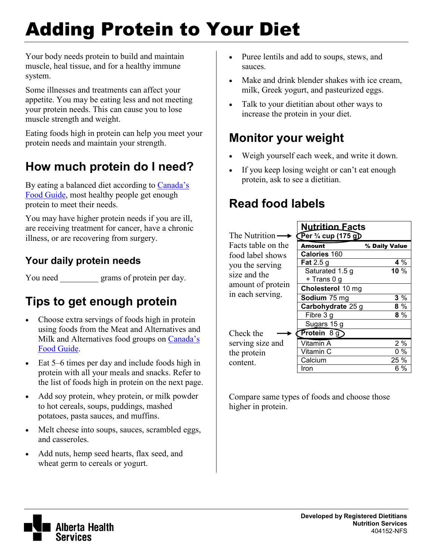# Adding Protein to Your Diet

Your body needs protein to build and maintain muscle, heal tissue, and for a healthy immune system.

Some illnesses and treatments can affect your appetite. You may be eating less and not meeting your protein needs. This can cause you to lose muscle strength and weight.

Eating foods high in protein can help you meet your protein needs and maintain your strength.

## **How much protein do I need?**

By eating a balanced diet according to [Canada's](http://hc-sc.gc.ca/fn-an/food-guide-aliment/index-eng.php)  [Food Guide,](http://hc-sc.gc.ca/fn-an/food-guide-aliment/index-eng.php) most healthy people get enough protein to meet their needs.

You may have higher protein needs if you are ill, are receiving treatment for cancer, have a chronic illness, or are recovering from surgery.

#### **Your daily protein needs**

You need grams of protein per day.

## **Tips to get enough protein**

- Choose extra servings of foods high in protein using foods from the Meat and Alternatives and Milk and Alternatives food groups on [Canada's](http://hc-sc.gc.ca/fn-an/food-guide-aliment/index-eng.php)  [Food Guide.](http://hc-sc.gc.ca/fn-an/food-guide-aliment/index-eng.php)
- Eat 5–6 times per day and include foods high in protein with all your meals and snacks. Refer to the list of foods high in protein on the next page.
- Add soy protein, whey protein, or milk powder to hot cereals, soups, puddings, mashed potatoes, pasta sauces, and muffins.
- Melt cheese into soups, sauces, scrambled eggs, and casseroles.
- Add nuts, hemp seed hearts, flax seed, and wheat germ to cereals or yogurt.
- Puree lentils and add to soups, stews, and sauces.
- Make and drink blender shakes with ice cream, milk, Greek yogurt, and pasteurized eggs.
- Talk to your dietitian about other ways to increase the protein in your diet.

#### **Monitor your weight**

- Weigh yourself each week, and write it down.
- If you keep losing weight or can't eat enough protein, ask to see a dietitian.

## **Read food labels**

|                                                                          | <b>Nutrition Facts</b>                      |               |
|--------------------------------------------------------------------------|---------------------------------------------|---------------|
| The Nutrition -                                                          | $\sqrt{\text{Per 3}/4 \text{ cup (175 g)}}$ |               |
| Facts table on the                                                       | <b>Amount</b>                               | % Daily Value |
| food label shows                                                         | <b>Calories 160</b>                         |               |
| you the serving<br>size and the<br>amount of protein<br>in each serving. | Fat 2.5 g                                   | 4%            |
|                                                                          | Saturated 1.5 g                             | 10 $%$        |
|                                                                          | + Trans 0 g                                 |               |
|                                                                          | Cholesterol 10 mg                           |               |
|                                                                          | Sodium 75 mg                                | 3%            |
|                                                                          | Carbohydrate 25 g                           | 8%            |
|                                                                          | Fibre 3 g                                   | $8\%$         |
|                                                                          | Sugars 15 g                                 |               |
| Check the                                                                | Protein $8\overline{g}$                     |               |
| serving size and                                                         | Vitamin A                                   | 2%            |
| the protein<br>content.                                                  | Vitamin C                                   | $0\%$         |
|                                                                          | Calcium                                     | 25 %          |
|                                                                          | Iron                                        | 6 %           |

Compare same types of foods and choose those higher in protein.